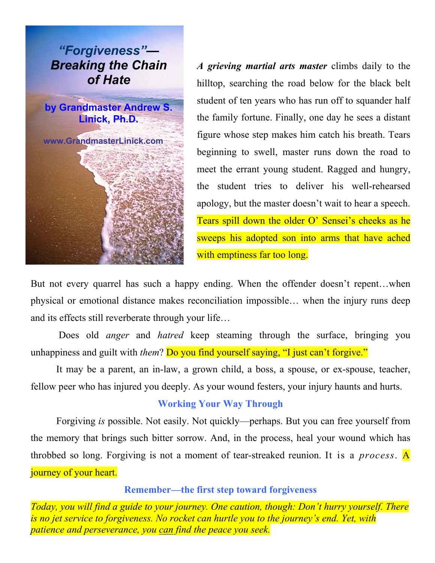

*A grieving martial arts master* climbs daily to the hilltop, searching the road below for the black belt student of ten years who has run off to squander half the family fortune. Finally, one day he sees a distant figure whose step makes him catch his breath. Tears beginning to swell, master runs down the road to meet the errant young student. Ragged and hungry, the student tries to deliver his well-rehearsed apology, but the master doesn't wait to hear a speech. Tears spill down the older O' Sensei's cheeks as he sweeps his adopted son into arms that have ached with emptiness far too long.

But not every quarrel has such a happy ending. When the offender doesn't repent…when physical or emotional distance makes reconciliation impossible… when the injury runs deep and its effects still reverberate through your life…

 Does old *anger* and *hatred* keep steaming through the surface, bringing you unhappiness and guilt with *them*? Do you find yourself saying, "I just can't forgive."

 It may be a parent, an in-law, a grown child, a boss, a spouse, or ex-spouse, teacher, fellow peer who has injured you deeply. As your wound festers, your injury haunts and hurts.

## **Working Your Way Through**

 Forgiving *is* possible. Not easily. Not quickly—perhaps. But you can free yourself from the memory that brings such bitter sorrow. And, in the process, heal your wound which has throbbed so long. Forgiving is not a moment of tear-streaked reunion. It is a *process*. A journey of your heart.

**Remember—the first step toward forgiveness** 

*Today, you will find a guide to your journey. One caution, though: Don't hurry yourself. There is no jet service to forgiveness. No rocket can hurtle you to the journey's end. Yet, with patience and perseverance, you can find the peace you seek.*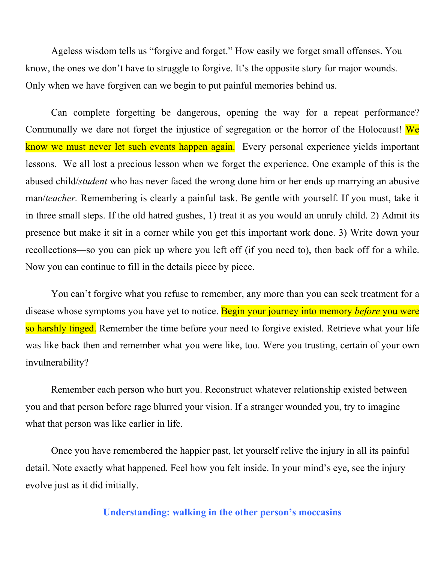Ageless wisdom tells us "forgive and forget." How easily we forget small offenses. You know, the ones we don't have to struggle to forgive. It's the opposite story for major wounds. Only when we have forgiven can we begin to put painful memories behind us.

Can complete forgetting be dangerous, opening the way for a repeat performance? Communally we dare not forget the injustice of segregation or the horror of the Holocaust! We know we must never let such events happen again. Every personal experience yields important lessons. We all lost a precious lesson when we forget the experience. One example of this is the abused child/*student* who has never faced the wrong done him or her ends up marrying an abusive man/*teacher.* Remembering is clearly a painful task. Be gentle with yourself. If you must, take it in three small steps. If the old hatred gushes, 1) treat it as you would an unruly child. 2) Admit its presence but make it sit in a corner while you get this important work done. 3) Write down your recollections—so you can pick up where you left off (if you need to), then back off for a while. Now you can continue to fill in the details piece by piece.

You can't forgive what you refuse to remember, any more than you can seek treatment for a disease whose symptoms you have yet to notice. Begin your journey into memory *before* you were so harshly tinged. Remember the time before your need to forgive existed. Retrieve what your life was like back then and remember what you were like, too. Were you trusting, certain of your own invulnerability?

 Remember each person who hurt you. Reconstruct whatever relationship existed between you and that person before rage blurred your vision. If a stranger wounded you, try to imagine what that person was like earlier in life.

 Once you have remembered the happier past, let yourself relive the injury in all its painful detail. Note exactly what happened. Feel how you felt inside. In your mind's eye, see the injury evolve just as it did initially.

**Understanding: walking in the other person's moccasins**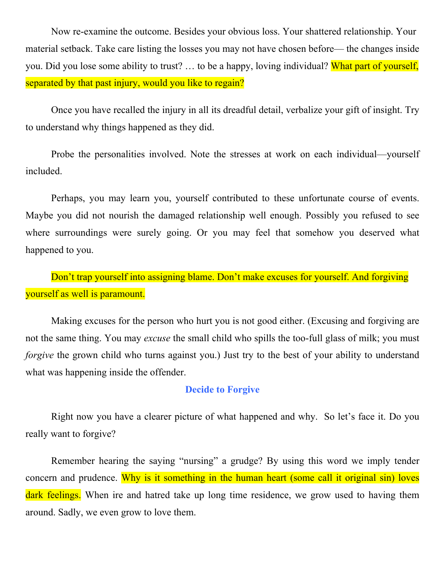Now re-examine the outcome. Besides your obvious loss. Your shattered relationship. Your material setback. Take care listing the losses you may not have chosen before— the changes inside you. Did you lose some ability to trust? … to be a happy, loving individual? What part of yourself, separated by that past injury, would you like to regain?

 Once you have recalled the injury in all its dreadful detail, verbalize your gift of insight. Try to understand why things happened as they did.

 Probe the personalities involved. Note the stresses at work on each individual—yourself included.

 Perhaps, you may learn you, yourself contributed to these unfortunate course of events. Maybe you did not nourish the damaged relationship well enough. Possibly you refused to see where surroundings were surely going. Or you may feel that somehow you deserved what happened to you.

Don't trap yourself into assigning blame. Don't make excuses for yourself. And forgiving yourself as well is paramount.

 Making excuses for the person who hurt you is not good either. (Excusing and forgiving are not the same thing. You may *excuse* the small child who spills the too-full glass of milk; you must *forgive* the grown child who turns against you.) Just try to the best of your ability to understand what was happening inside the offender.

## **Decide to Forgive**

 Right now you have a clearer picture of what happened and why. So let's face it. Do you really want to forgive?

 Remember hearing the saying "nursing" a grudge? By using this word we imply tender concern and prudence. Why is it something in the human heart (some call it original sin) loves dark feelings. When ire and hatred take up long time residence, we grow used to having them around. Sadly, we even grow to love them.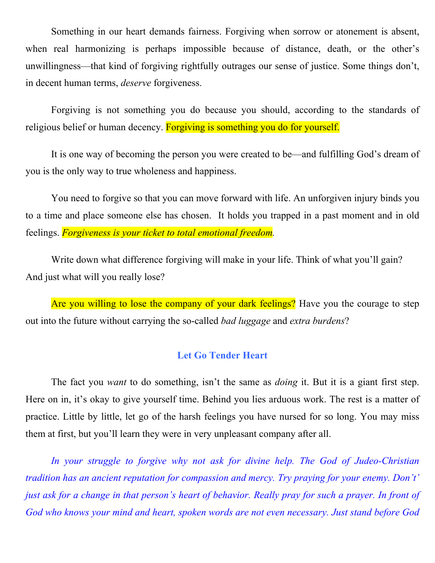Something in our heart demands fairness. Forgiving when sorrow or atonement is absent, when real harmonizing is perhaps impossible because of distance, death, or the other's unwillingness—that kind of forgiving rightfully outrages our sense of justice. Some things don't, in decent human terms, *deserve* forgiveness.

 Forgiving is not something you do because you should, according to the standards of religious belief or human decency. Forgiving is something you do for yourself.

 It is one way of becoming the person you were created to be—and fulfilling God's dream of you is the only way to true wholeness and happiness.

 You need to forgive so that you can move forward with life. An unforgiven injury binds you to a time and place someone else has chosen. It holds you trapped in a past moment and in old feelings. *Forgiveness is your ticket to total emotional freedom.*

 Write down what difference forgiving will make in your life. Think of what you'll gain? And just what will you really lose?

Are you willing to lose the company of your dark feelings? Have you the courage to step out into the future without carrying the so-called *bad luggage* and *extra burdens*?

## **Let Go Tender Heart**

 The fact you *want* to do something, isn't the same as *doing* it. But it is a giant first step. Here on in, it's okay to give yourself time. Behind you lies arduous work. The rest is a matter of practice. Little by little, let go of the harsh feelings you have nursed for so long. You may miss them at first, but you'll learn they were in very unpleasant company after all.

*In your struggle to forgive why not ask for divine help. The God of Judeo-Christian tradition has an ancient reputation for compassion and mercy. Try praying for your enemy. Don't' just ask for a change in that person's heart of behavior. Really pray for such a prayer. In front of God who knows your mind and heart, spoken words are not even necessary. Just stand before God*